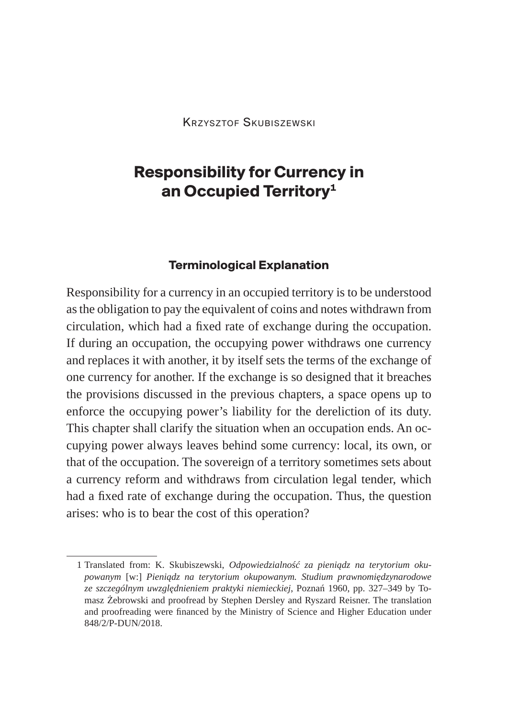# **Responsibility for Currency in an Occupied Territory1**

#### **Terminological Explanation**

Responsibility for a currency in an occupied territory is to be understood as the obligation to pay the equivalent of coins and notes withdrawn from circulation, which had a fixed rate of exchange during the occupation. If during an occupation, the occupying power withdraws one currency and replaces it with another, it by itself sets the terms of the exchange of one currency for another. If the exchange is so designed that it breaches the provisions discussed in the previous chapters, a space opens up to enforce the occupying power's liability for the dereliction of its duty. This chapter shall clarify the situation when an occupation ends. An occupying power always leaves behind some currency: local, its own, or that of the occupation. The sovereign of a territory sometimes sets about a currency reform and withdraws from circulation legal tender, which had a fixed rate of exchange during the occupation. Thus, the question arises: who is to bear the cost of this operation?

<sup>1</sup> Translated from: K. Skubiszewski, *Odpowiedzialność za pieniądz na terytorium okupowanym* [w:] *Pieniądz na terytorium okupowanym. Studium prawnomiędzynarodowe ze szczególnym uwzględnieniem praktyki niemieckiej*, Poznań 1960, pp. 327–349 by Tomasz Żebrowski and proofread by Stephen Dersley and Ryszard Reisner. The translation and proofreading were financed by the Ministry of Science and Higher Education under 848/2/P-DUN/2018.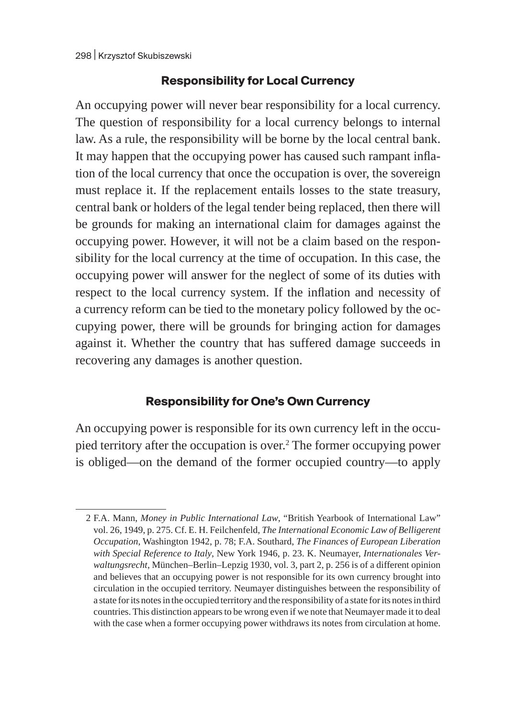#### **Responsibility for Local Currency**

An occupying power will never bear responsibility for a local currency. The question of responsibility for a local currency belongs to internal law. As a rule, the responsibility will be borne by the local central bank. It may happen that the occupying power has caused such rampant inflation of the local currency that once the occupation is over, the sovereign must replace it. If the replacement entails losses to the state treasury, central bank or holders of the legal tender being replaced, then there will be grounds for making an international claim for damages against the occupying power. However, it will not be a claim based on the responsibility for the local currency at the time of occupation. In this case, the occupying power will answer for the neglect of some of its duties with respect to the local currency system. If the inflation and necessity of a currency reform can be tied to the monetary policy followed by the occupying power, there will be grounds for bringing action for damages against it. Whether the country that has suffered damage succeeds in recovering any damages is another question.

### **Responsibility for One's Own Currency**

An occupying power is responsible for its own currency left in the occupied territory after the occupation is over.<sup>2</sup> The former occupying power is obliged—on the demand of the former occupied country—to apply

<sup>2</sup> F.A. Mann, *Money in Public International Law*, "British Yearbook of International Law" vol. 26, 1949, p. 275. Cf. E. H. Feilchenfeld, *The International Economic Law of Belligerent Occupation*, Washington 1942, p. 78; F.A. Southard, *The Finances of European Liberation with Special Reference to Italy*, New York 1946, p. 23. K. Neumayer, *Internationales Verwaltungsrecht*, München–Berlin–Lepzig 1930, vol. 3, part 2, p. 256 is of a different opinion and believes that an occupying power is not responsible for its own currency brought into circulation in the occupied territory. Neumayer distinguishes between the responsibility of a state for its notes in the occupied territory and the responsibility of a state for its notes in third countries. This distinction appears to be wrong even if we note that Neumayer made it to deal with the case when a former occupying power withdraws its notes from circulation at home.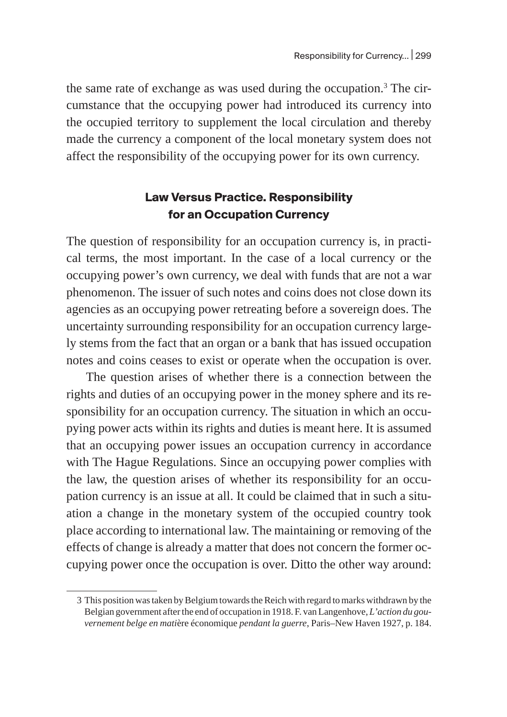the same rate of exchange as was used during the occupation.<sup>3</sup> The circumstance that the occupying power had introduced its currency into the occupied territory to supplement the local circulation and thereby made the currency a component of the local monetary system does not affect the responsibility of the occupying power for its own currency.

## **Law Versus Practice. Responsibility for an Occupation Currency**

The question of responsibility for an occupation currency is, in practical terms, the most important. In the case of a local currency or the occupying power's own currency, we deal with funds that are not a war phenomenon. The issuer of such notes and coins does not close down its agencies as an occupying power retreating before a sovereign does. The uncertainty surrounding responsibility for an occupation currency largely stems from the fact that an organ or a bank that has issued occupation notes and coins ceases to exist or operate when the occupation is over.

The question arises of whether there is a connection between the rights and duties of an occupying power in the money sphere and its responsibility for an occupation currency. The situation in which an occupying power acts within its rights and duties is meant here. It is assumed that an occupying power issues an occupation currency in accordance with The Hague Regulations. Since an occupying power complies with the law, the question arises of whether its responsibility for an occupation currency is an issue at all. It could be claimed that in such a situation a change in the monetary system of the occupied country took place according to international law. The maintaining or removing of the effects of change is already a matter that does not concern the former occupying power once the occupation is over. Ditto the other way around:

<sup>3</sup> This position was taken by Belgium towards the Reich with regard to marks withdrawn by the Belgian government after the end of occupation in 1918. F. van Langenhove, *L'action du gouvernement belge en mati*ère économique *pendant la guerre*, Paris–New Haven 1927, p. 184.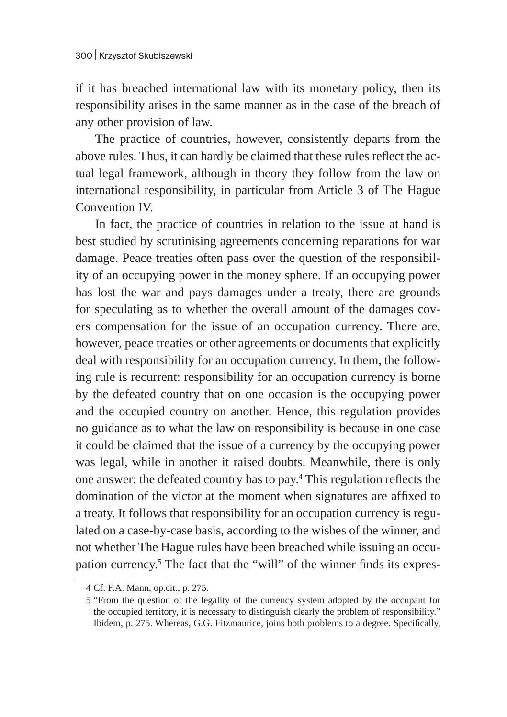if it has breached international law with its monetary policy, then its responsibility arises in the same manner as in the case of the breach of any other provision of law.

The practice of countries, however, consistently departs from the above rules. Thus, it can hardly be claimed that these rules reflect the actual legal framework, although in theory they follow from the law on international responsibility, in particular from Article 3 of The Hague Convention IV.

In fact, the practice of countries in relation to the issue at hand is best studied by scrutinising agreements concerning reparations for war damage. Peace treaties often pass over the question of the responsibility of an occupying power in the money sphere. If an occupying power has lost the war and pays damages under a treaty, there are grounds for speculating as to whether the overall amount of the damages covers compensation for the issue of an occupation currency. There are, however, peace treaties or other agreements or documents that explicitly deal with responsibility for an occupation currency. In them, the following rule is recurrent: responsibility for an occupation currency is borne by the defeated country that on one occasion is the occupying power and the occupied country on another. Hence, this regulation provides no guidance as to what the law on responsibility is because in one case it could be claimed that the issue of a currency by the occupying power was legal, while in another it raised doubts. Meanwhile, there is only one answer: the defeated country has to pay.<sup>4</sup> This regulation reflects the domination of the victor at the moment when signatures are affixed to a treaty. It follows that responsibility for an occupation currency is regulated on a case-by-case basis, according to the wishes of the winner, and not whether The Hague rules have been breached while issuing an occupation currency.<sup>5</sup> The fact that the "will" of the winner finds its expres-

<sup>4</sup> Cf. F.A. Mann, op.cit., p. 275.

<sup>5</sup> "From the question of the legality of the currency system adopted by the occupant for the occupied territory, it is necessary to distinguish clearly the problem of responsibility." Ibidem, p. 275. Whereas, G.G. Fitzmaurice, joins both problems to a degree. Specifically,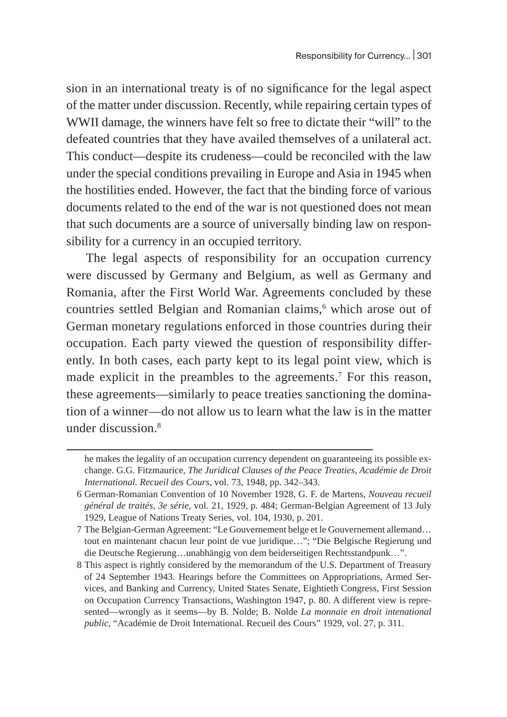sion in an international treaty is of no significance for the legal aspect of the matter under discussion. Recently, while repairing certain types of WWII damage, the winners have felt so free to dictate their "will" to the defeated countries that they have availed themselves of a unilateral act. This conduct—despite its crudeness—could be reconciled with the law under the special conditions prevailing in Europe and Asia in 1945 when the hostilities ended. However, the fact that the binding force of various documents related to the end of the war is not questioned does not mean that such documents are a source of universally binding law on responsibility for a currency in an occupied territory.

The legal aspects of responsibility for an occupation currency were discussed by Germany and Belgium, as well as Germany and Romania, after the First World War. Agreements concluded by these countries settled Belgian and Romanian claims,<sup>6</sup> which arose out of German monetary regulations enforced in those countries during their occupation. Each party viewed the question of responsibility differently. In both cases, each party kept to its legal point view, which is made explicit in the preambles to the agreements.7 For this reason, these agreements—similarly to peace treaties sanctioning the domination of a winner—do not allow us to learn what the law is in the matter under discussion.<sup>8</sup>

he makes the legality of an occupation currency dependent on guaranteeing its possible exchange. G.G. Fitzmaurice, *The Juridical Clauses of the Peace Treaties, Académie de Droit International. Recueil des Cours*, vol. 73, 1948, pp. 342–343.

<sup>6</sup> German-Romanian Convention of 10 November 1928, G. F. de Martens, *Nouveau recueil général de traités, 3e série,* vol. 21, 1929, p. 484; German-Belgian Agreement of 13 July 1929, League of Nations Treaty Series, vol. 104, 1930, p. 201.

<sup>7</sup> The Belgian-German Agreement: "Le Gouvernement belge et le Gouvernement allemand… tout en maintenant chacun leur point de vue juridique…"; "Die Belgische Regierung und die Deutsche Regierung…unabhängig von dem beiderseitigen Rechtsstandpunk…".

<sup>8</sup> This aspect is rightly considered by the memorandum of the U.S. Department of Treasury of 24 September 1943. Hearings before the Committees on Appropriations, Armed Services, and Banking and Currency, United States Senate, Eightieth Congress, First Session on Occupation Currency Transactions, Washington 1947, p. 80. A different view is represented—wrongly as it seems—by B. Nolde; B. Nolde *La monnaie en droit intenational public*, "Académie de Droit International. Recueil des Cours" 1929, vol. 27, p. 311.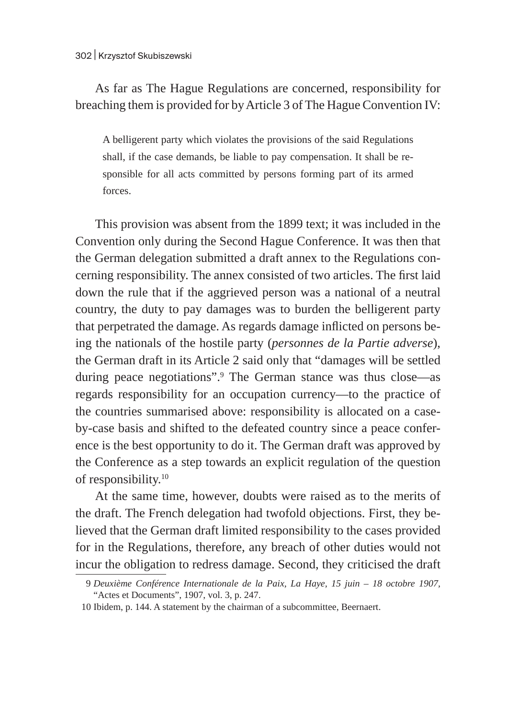## As far as The Hague Regulations are concerned, responsibility for breaching them is provided for by Article 3 of The Hague Convention IV:

A belligerent party which violates the provisions of the said Regulations shall, if the case demands, be liable to pay compensation. It shall be responsible for all acts committed by persons forming part of its armed forces.

This provision was absent from the 1899 text; it was included in the Convention only during the Second Hague Conference. It was then that the German delegation submitted a draft annex to the Regulations concerning responsibility. The annex consisted of two articles. The first laid down the rule that if the aggrieved person was a national of a neutral country, the duty to pay damages was to burden the belligerent party that perpetrated the damage. As regards damage inflicted on persons being the nationals of the hostile party (*personnes de la Partie adverse*), the German draft in its Article 2 said only that "damages will be settled during peace negotiations".9 The German stance was thus close—as regards responsibility for an occupation currency—to the practice of the countries summarised above: responsibility is allocated on a caseby-case basis and shifted to the defeated country since a peace conference is the best opportunity to do it. The German draft was approved by the Conference as a step towards an explicit regulation of the question of responsibility.<sup>10</sup>

At the same time, however, doubts were raised as to the merits of the draft. The French delegation had twofold objections. First, they believed that the German draft limited responsibility to the cases provided for in the Regulations, therefore, any breach of other duties would not incur the obligation to redress damage. Second, they criticised the draft

<sup>9</sup> *Deuxième Conférence Internationale de la Paix, La Haye, 15 juin – 18 octobre 1907,*  "Actes et Documents", 1907, vol. 3, p. 247.

<sup>10</sup> Ibidem, p. 144. A statement by the chairman of a subcommittee, Beernaert.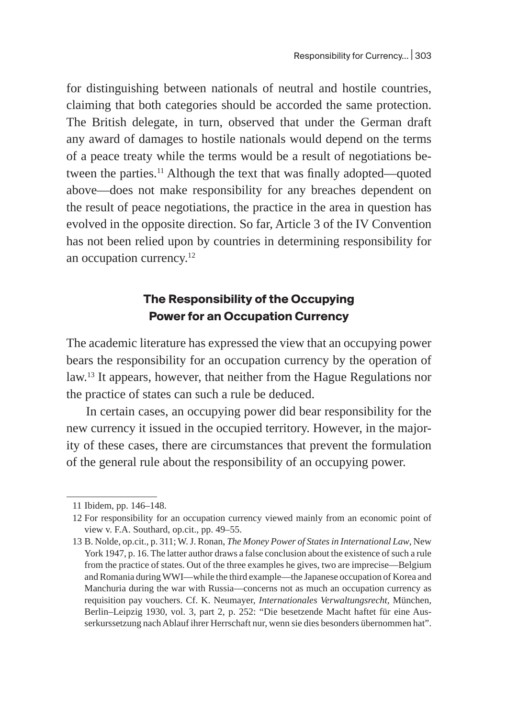for distinguishing between nationals of neutral and hostile countries, claiming that both categories should be accorded the same protection. The British delegate, in turn, observed that under the German draft any award of damages to hostile nationals would depend on the terms of a peace treaty while the terms would be a result of negotiations between the parties.<sup>11</sup> Although the text that was finally adopted—quoted above—does not make responsibility for any breaches dependent on the result of peace negotiations, the practice in the area in question has evolved in the opposite direction. So far, Article 3 of the IV Convention has not been relied upon by countries in determining responsibility for an occupation currency.<sup>12</sup>

### **The Responsibility of the Occupying Power for an Occupation Currency**

The academic literature has expressed the view that an occupying power bears the responsibility for an occupation currency by the operation of law.13 It appears, however, that neither from the Hague Regulations nor the practice of states can such a rule be deduced.

In certain cases, an occupying power did bear responsibility for the new currency it issued in the occupied territory. However, in the majority of these cases, there are circumstances that prevent the formulation of the general rule about the responsibility of an occupying power.

<sup>11</sup> Ibidem, pp. 146–148.

<sup>12</sup> For responsibility for an occupation currency viewed mainly from an economic point of view v. F.A. Southard, op.cit., pp. 49–55.

<sup>13</sup> B. Nolde, op.cit., p. 311; W.J. Ronan, *The Money Power of States in International Law*, New York 1947, p. 16. The latter author draws a false conclusion about the existence of such a rule from the practice of states. Out of the three examples he gives, two are imprecise—Belgium and Romania during WWI—while the third example—the Japanese occupation of Korea and Manchuria during the war with Russia—concerns not as much an occupation currency as requisition pay vouchers. Cf. K. Neumayer, *Internationales Verwaltungsrecht*, München, Berlin–Leipzig 1930, vol. 3, part 2, p. 252: "Die besetzende Macht haftet für eine Ausserkurssetzung nach Ablauf ihrer Herrschaft nur, wenn sie dies besonders übernommen hat".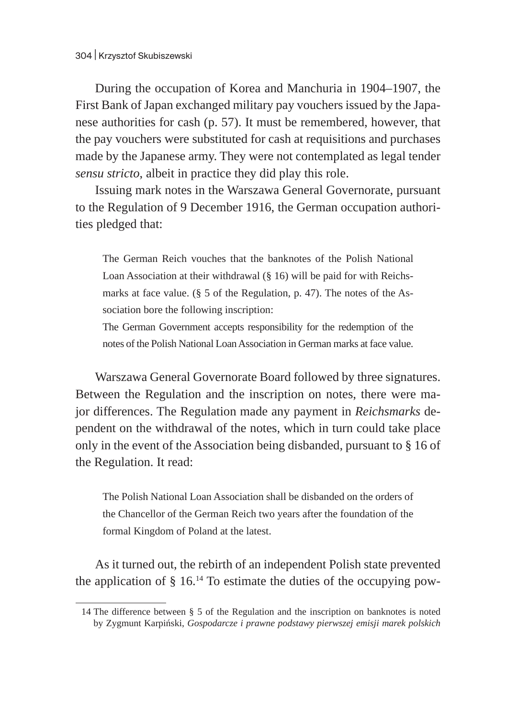During the occupation of Korea and Manchuria in 1904–1907, the First Bank of Japan exchanged military pay vouchers issued by the Japanese authorities for cash (p. 57). It must be remembered, however, that the pay vouchers were substituted for cash at requisitions and purchases made by the Japanese army. They were not contemplated as legal tender *sensu stricto*, albeit in practice they did play this role.

Issuing mark notes in the Warszawa General Governorate, pursuant to the Regulation of 9 December 1916, the German occupation authorities pledged that:

The German Reich vouches that the banknotes of the Polish National Loan Association at their withdrawal (§ 16) will be paid for with Reichsmarks at face value. (§ 5 of the Regulation, p. 47). The notes of the Association bore the following inscription:

The German Government accepts responsibility for the redemption of the notes of the Polish National Loan Association in German marks at face value.

Warszawa General Governorate Board followed by three signatures. Between the Regulation and the inscription on notes, there were major differences. The Regulation made any payment in *Reichsmarks* dependent on the withdrawal of the notes, which in turn could take place only in the event of the Association being disbanded, pursuant to § 16 of the Regulation. It read:

The Polish National Loan Association shall be disbanded on the orders of the Chancellor of the German Reich two years after the foundation of the formal Kingdom of Poland at the latest.

As it turned out, the rebirth of an independent Polish state prevented the application of  $\S$  16.<sup>14</sup> To estimate the duties of the occupying pow-

<sup>14</sup> The difference between § 5 of the Regulation and the inscription on banknotes is noted by Zygmunt Karpiński, *Gospodarcze i prawne podstawy pierwszej emisji marek polskich*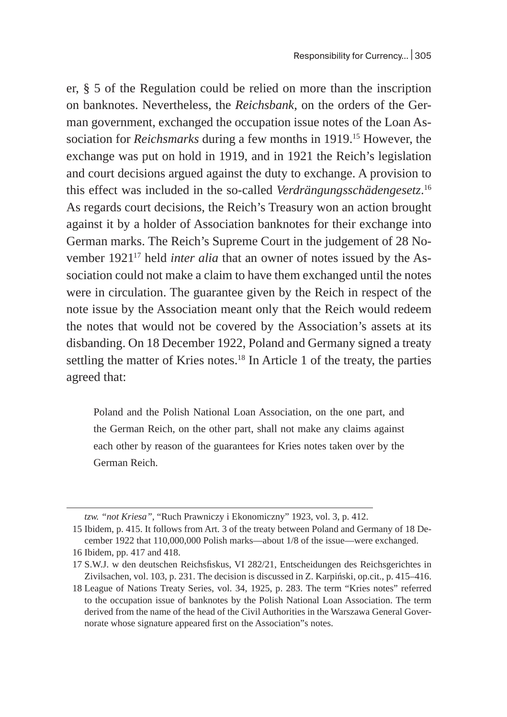er, § 5 of the Regulation could be relied on more than the inscription on banknotes. Nevertheless, the *Reichsbank*, on the orders of the German government, exchanged the occupation issue notes of the Loan Association for *Reichsmarks* during a few months in 1919.15 However, the exchange was put on hold in 1919, and in 1921 the Reich's legislation and court decisions argued against the duty to exchange. A provision to this effect was included in the so-called *Verdrängungsschädengesetz*. 16 As regards court decisions, the Reich's Treasury won an action brought against it by a holder of Association banknotes for their exchange into German marks. The Reich's Supreme Court in the judgement of 28 November 1921<sup>17</sup> held *inter alia* that an owner of notes issued by the Association could not make a claim to have them exchanged until the notes were in circulation. The guarantee given by the Reich in respect of the note issue by the Association meant only that the Reich would redeem the notes that would not be covered by the Association's assets at its disbanding. On 18 December 1922, Poland and Germany signed a treaty settling the matter of Kries notes. $18$  In Article 1 of the treaty, the parties agreed that:

Poland and the Polish National Loan Association, on the one part, and the German Reich, on the other part, shall not make any claims against each other by reason of the guarantees for Kries notes taken over by the German Reich.

*tzw. "not Kriesa"*, "Ruch Prawniczy i Ekonomiczny" 1923, vol. 3, p. 412.

<sup>15</sup> Ibidem, p. 415. It follows from Art. 3 of the treaty between Poland and Germany of 18 December 1922 that 110,000,000 Polish marks—about 1/8 of the issue—were exchanged.

<sup>16</sup> Ibidem, pp. 417 and 418.

<sup>17</sup> S.W.J. w den deutschen Reichsfiskus, VI 282/21, Entscheidungen des Reichsgerichtes in Zivilsachen, vol. 103, p. 231. The decision is discussed in Z. Karpiński, op.cit., p. 415–416.

<sup>18</sup> League of Nations Treaty Series, vol. 34, 1925, p. 283. The term "Kries notes" referred to the occupation issue of banknotes by the Polish National Loan Association. The term derived from the name of the head of the Civil Authorities in the Warszawa General Governorate whose signature appeared first on the Association"s notes.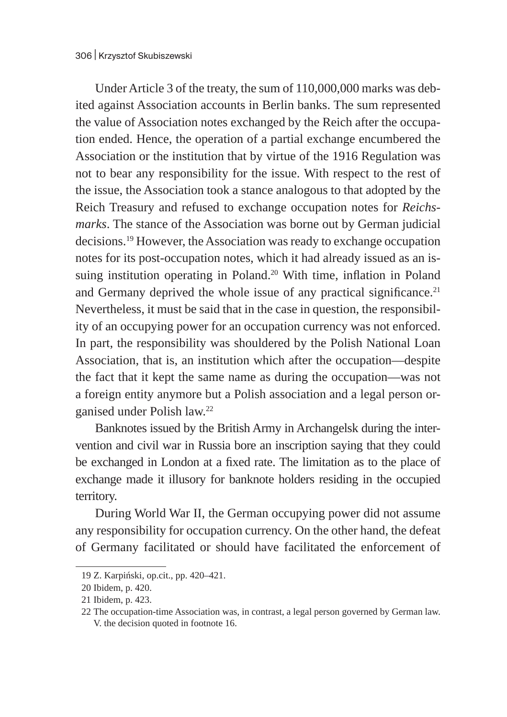Under Article 3 of the treaty, the sum of 110,000,000 marks was debited against Association accounts in Berlin banks. The sum represented the value of Association notes exchanged by the Reich after the occupation ended. Hence, the operation of a partial exchange encumbered the Association or the institution that by virtue of the 1916 Regulation was not to bear any responsibility for the issue. With respect to the rest of the issue, the Association took a stance analogous to that adopted by the Reich Treasury and refused to exchange occupation notes for *Reichsmarks*. The stance of the Association was borne out by German judicial decisions.19 However, the Association was ready to exchange occupation notes for its post-occupation notes, which it had already issued as an issuing institution operating in Poland.<sup>20</sup> With time, inflation in Poland and Germany deprived the whole issue of any practical significance. $21$ Nevertheless, it must be said that in the case in question, the responsibility of an occupying power for an occupation currency was not enforced. In part, the responsibility was shouldered by the Polish National Loan Association, that is, an institution which after the occupation—despite the fact that it kept the same name as during the occupation—was not a foreign entity anymore but a Polish association and a legal person organised under Polish law.22

Banknotes issued by the British Army in Archangelsk during the intervention and civil war in Russia bore an inscription saying that they could be exchanged in London at a fixed rate. The limitation as to the place of exchange made it illusory for banknote holders residing in the occupied territory.

During World War II, the German occupying power did not assume any responsibility for occupation currency. On the other hand, the defeat of Germany facilitated or should have facilitated the enforcement of

<sup>19</sup> Z. Karpiński, op.cit., pp. 420–421.

<sup>20</sup> Ibidem, p. 420.

<sup>21</sup> Ibidem, p. 423.

<sup>22</sup> The occupation-time Association was, in contrast, a legal person governed by German law. V. the decision quoted in footnote 16.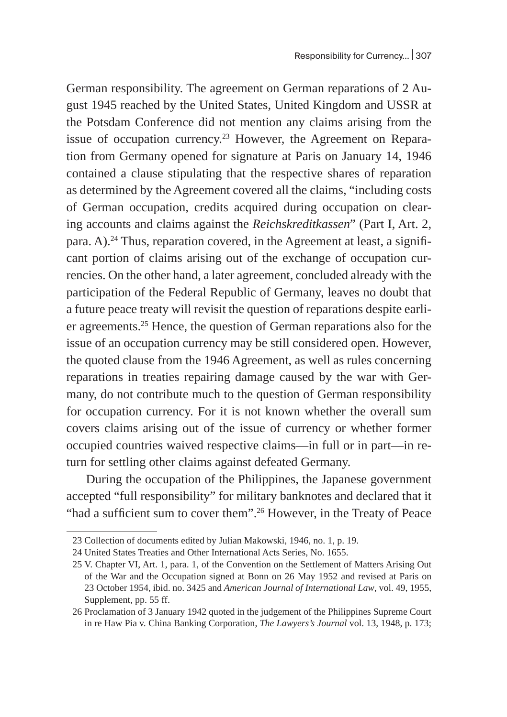German responsibility. The agreement on German reparations of 2 August 1945 reached by the United States, United Kingdom and USSR at the Potsdam Conference did not mention any claims arising from the issue of occupation currency.<sup>23</sup> However, the Agreement on Reparation from Germany opened for signature at Paris on January 14, 1946 contained a clause stipulating that the respective shares of reparation as determined by the Agreement covered all the claims, "including costs of German occupation, credits acquired during occupation on clearing accounts and claims against the *Reichskreditkassen*" (Part I, Art. 2, para. A).<sup>24</sup> Thus, reparation covered, in the Agreement at least, a significant portion of claims arising out of the exchange of occupation currencies. On the other hand, a later agreement, concluded already with the participation of the Federal Republic of Germany, leaves no doubt that a future peace treaty will revisit the question of reparations despite earlier agreements.25 Hence, the question of German reparations also for the issue of an occupation currency may be still considered open. However, the quoted clause from the 1946 Agreement, as well as rules concerning reparations in treaties repairing damage caused by the war with Germany, do not contribute much to the question of German responsibility for occupation currency. For it is not known whether the overall sum covers claims arising out of the issue of currency or whether former occupied countries waived respective claims—in full or in part—in return for settling other claims against defeated Germany.

During the occupation of the Philippines, the Japanese government accepted "full responsibility" for military banknotes and declared that it "had a sufficient sum to cover them".<sup>26</sup> However, in the Treaty of Peace

<sup>23</sup> Collection of documents edited by Julian Makowski, 1946, no. 1, p. 19.

<sup>24</sup> United States Treaties and Other International Acts Series, No. 1655.

<sup>25</sup> V. Chapter VI, Art. 1, para. 1, of the Convention on the Settlement of Matters Arising Out of the War and the Occupation signed at Bonn on 26 May 1952 and revised at Paris on 23 October 1954, ibid. no. 3425 and *American Journal of International Law*, vol. 49, 1955, Supplement, pp. 55 ff.

<sup>26</sup> Proclamation of 3 January 1942 quoted in the judgement of the Philippines Supreme Court in re Haw Pia v. China Banking Corporation, *The Lawyers's Journal* vol. 13, 1948, p. 173;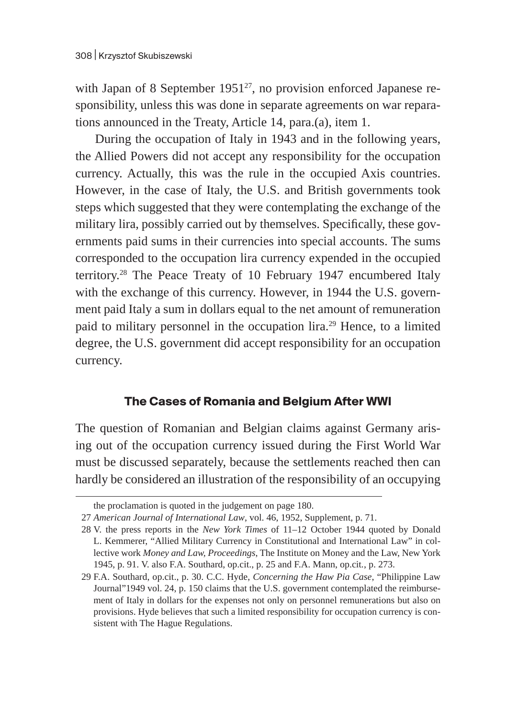with Japan of 8 September  $1951^{27}$ , no provision enforced Japanese responsibility, unless this was done in separate agreements on war reparations announced in the Treaty, Article 14, para.(a), item 1.

During the occupation of Italy in 1943 and in the following years, the Allied Powers did not accept any responsibility for the occupation currency. Actually, this was the rule in the occupied Axis countries. However, in the case of Italy, the U.S. and British governments took steps which suggested that they were contemplating the exchange of the military lira, possibly carried out by themselves. Specifically, these governments paid sums in their currencies into special accounts. The sums corresponded to the occupation lira currency expended in the occupied territory.28 The Peace Treaty of 10 February 1947 encumbered Italy with the exchange of this currency. However, in 1944 the U.S. government paid Italy a sum in dollars equal to the net amount of remuneration paid to military personnel in the occupation lira.29 Hence, to a limited degree, the U.S. government did accept responsibility for an occupation currency.

#### **The Cases of Romania and Belgium After WWI**

The question of Romanian and Belgian claims against Germany arising out of the occupation currency issued during the First World War must be discussed separately, because the settlements reached then can hardly be considered an illustration of the responsibility of an occupying

the proclamation is quoted in the judgement on page 180.

<sup>27</sup> *American Journal of International Law*, vol. 46, 1952, Supplement, p. 71.

<sup>28</sup> V. the press reports in the *New York Times* of 11–12 October 1944 quoted by Donald L. Kemmerer, "Allied Military Currency in Constitutional and International Law" in collective work *Money and Law, Proceedings*, The Institute on Money and the Law, New York 1945, p. 91. V. also F.A. Southard, op.cit., p. 25 and F.A. Mann, op.cit*.*, p. 273.

<sup>29</sup> F.A. Southard, op.cit., p. 30. C.C. Hyde, *Concerning the Haw Pia Case*, "Philippine Law Journal"1949 vol. 24, p. 150 claims that the U.S. government contemplated the reimbursement of Italy in dollars for the expenses not only on personnel remunerations but also on provisions. Hyde believes that such a limited responsibility for occupation currency is consistent with The Hague Regulations.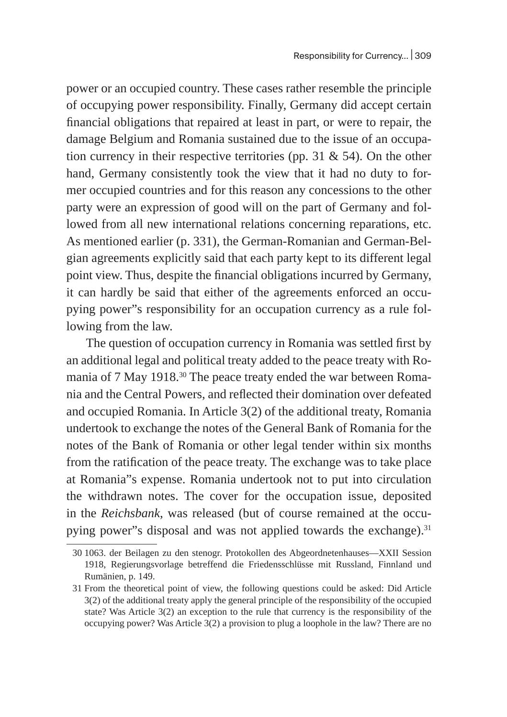power or an occupied country. These cases rather resemble the principle of occupying power responsibility. Finally, Germany did accept certain financial obligations that repaired at least in part, or were to repair, the damage Belgium and Romania sustained due to the issue of an occupation currency in their respective territories (pp. 31 & 54). On the other hand, Germany consistently took the view that it had no duty to former occupied countries and for this reason any concessions to the other party were an expression of good will on the part of Germany and followed from all new international relations concerning reparations, etc. As mentioned earlier (p. 331), the German-Romanian and German-Belgian agreements explicitly said that each party kept to its different legal point view. Thus, despite the financial obligations incurred by Germany, it can hardly be said that either of the agreements enforced an occupying power"s responsibility for an occupation currency as a rule following from the law.

The question of occupation currency in Romania was settled first by an additional legal and political treaty added to the peace treaty with Romania of 7 May 1918.<sup>30</sup> The peace treaty ended the war between Romania and the Central Powers, and reflected their domination over defeated and occupied Romania. In Article 3(2) of the additional treaty, Romania undertook to exchange the notes of the General Bank of Romania for the notes of the Bank of Romania or other legal tender within six months from the ratification of the peace treaty. The exchange was to take place at Romania"s expense. Romania undertook not to put into circulation the withdrawn notes. The cover for the occupation issue, deposited in the *Reichsbank*, was released (but of course remained at the occupying power"s disposal and was not applied towards the exchange). $31$ 

<sup>30</sup> 1063. der Beilagen zu den stenogr. Protokollen des Abgeordnetenhauses—XXII Session 1918, Regierungsvorlage betreffend die Friedensschlüsse mit Russland, Finnland und Rumänien, p. 149.

<sup>31</sup> From the theoretical point of view, the following questions could be asked: Did Article 3(2) of the additional treaty apply the general principle of the responsibility of the occupied state? Was Article 3(2) an exception to the rule that currency is the responsibility of the occupying power? Was Article 3(2) a provision to plug a loophole in the law? There are no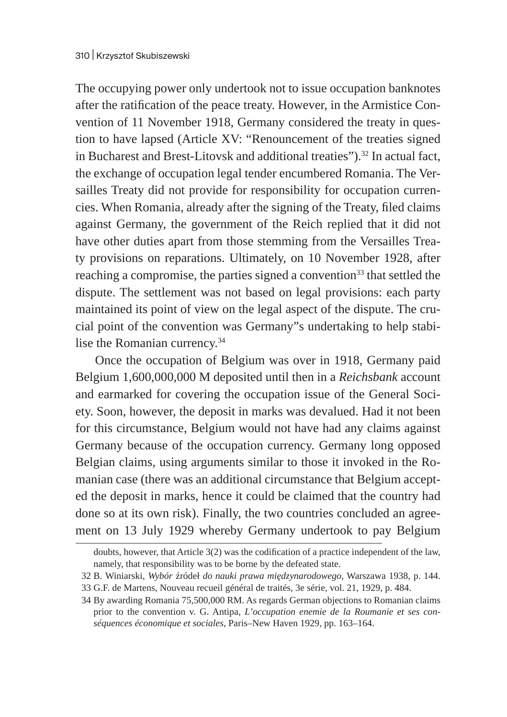The occupying power only undertook not to issue occupation banknotes after the ratification of the peace treaty. However, in the Armistice Convention of 11 November 1918, Germany considered the treaty in question to have lapsed (Article XV: "Renouncement of the treaties signed in Bucharest and Brest-Litovsk and additional treaties").<sup>32</sup> In actual fact, the exchange of occupation legal tender encumbered Romania. The Versailles Treaty did not provide for responsibility for occupation currencies. When Romania, already after the signing of the Treaty, filed claims against Germany, the government of the Reich replied that it did not have other duties apart from those stemming from the Versailles Treaty provisions on reparations. Ultimately, on 10 November 1928, after reaching a compromise, the parties signed a convention<sup>33</sup> that settled the dispute. The settlement was not based on legal provisions: each party maintained its point of view on the legal aspect of the dispute. The crucial point of the convention was Germany"s undertaking to help stabilise the Romanian currency.<sup>34</sup>

Once the occupation of Belgium was over in 1918, Germany paid Belgium 1,600,000,000 M deposited until then in a *Reichsbank* account and earmarked for covering the occupation issue of the General Society. Soon, however, the deposit in marks was devalued. Had it not been for this circumstance, Belgium would not have had any claims against Germany because of the occupation currency. Germany long opposed Belgian claims, using arguments similar to those it invoked in the Romanian case (there was an additional circumstance that Belgium accepted the deposit in marks, hence it could be claimed that the country had done so at its own risk). Finally, the two countries concluded an agreement on 13 July 1929 whereby Germany undertook to pay Belgium

doubts, however, that Article 3(2) was the codification of a practice independent of the law, namely, that responsibility was to be borne by the defeated state.

<sup>32</sup> B. Winiarski, *Wybór* źródeł *do nauki prawa międzynarodowego*, Warszawa 1938, p. 144. 33 G.F. de Martens, Nouveau recueil général de traités, 3e série, vol. 21, 1929, p. 484.

<sup>34</sup> By awarding Romania 75,500,000 RM. As regards German objections to Romanian claims prior to the convention v. G. Antipa, *L'occupation enemie de la Roumanie et ses conséquences économique et sociales*, Paris–New Haven 1929, pp. 163–164.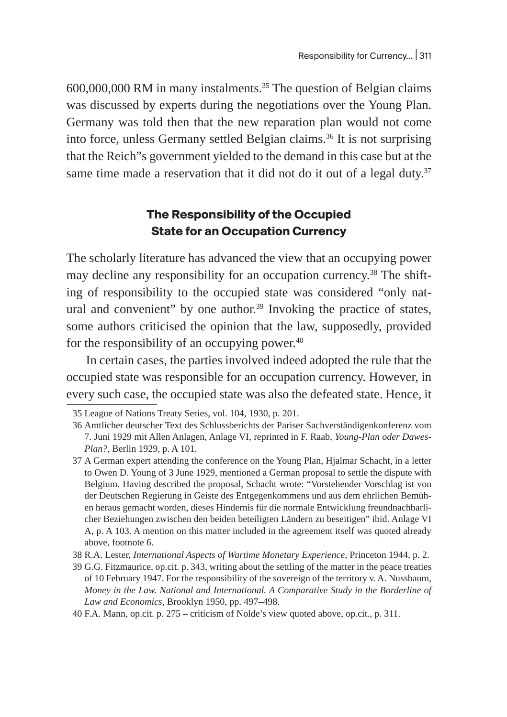600,000,000 RM in many instalments.35 The question of Belgian claims was discussed by experts during the negotiations over the Young Plan. Germany was told then that the new reparation plan would not come into force, unless Germany settled Belgian claims.<sup>36</sup> It is not surprising that the Reich"s government yielded to the demand in this case but at the same time made a reservation that it did not do it out of a legal duty.<sup>37</sup>

## **The Responsibility of the Occupied State for an Occupation Currency**

The scholarly literature has advanced the view that an occupying power may decline any responsibility for an occupation currency.<sup>38</sup> The shifting of responsibility to the occupied state was considered "only natural and convenient" by one author. $39$  Invoking the practice of states, some authors criticised the opinion that the law, supposedly, provided for the responsibility of an occupying power. $40$ 

In certain cases, the parties involved indeed adopted the rule that the occupied state was responsible for an occupation currency. However, in every such case, the occupied state was also the defeated state. Hence, it

38 R.A. Lester, *International Aspects of Wartime Monetary Experience*, Princeton 1944, p. 2.

<sup>35</sup> League of Nations Treaty Series, vol. 104, 1930, p. 201.

<sup>36</sup> Amtlicher deutscher Text des Schlussberichts der Pariser Sachverständigenkonferenz vom 7. Juni 1929 mit Allen Anlagen, Anlage VI, reprinted in F. Raab, *Young-Plan oder Dawes-Plan?*, Berlin 1929, p. A 101.

<sup>37</sup> A German expert attending the conference on the Young Plan, Hjalmar Schacht, in a letter to Owen D. Young of 3 June 1929, mentioned a German proposal to settle the dispute with Belgium. Having described the proposal, Schacht wrote: "Vorstehender Vorschlag ist von der Deutschen Regierung in Geiste des Entgegenkommens und aus dem ehrlichen Bemühen heraus gemacht worden, dieses Hindernis für die normale Entwicklung freundnachbarlicher Beziehungen zwischen den beiden beteiligten Ländern zu beseitigen" ibid. Anlage VI A, p. A 103. A mention on this matter included in the agreement itself was quoted already above, footnote 6.

<sup>39</sup> G.G. Fitzmaurice, op.cit. p. 343, writing about the settling of the matter in the peace treaties of 10 February 1947. For the responsibility of the sovereign of the territory v. A. Nussbaum, *Money in the Law. National and International. A Comparative Study in the Borderline of Law and Economics*, Brooklyn 1950, pp. 497–498.

<sup>40</sup> F.A. Mann, op.cit. p. 275 – criticism of Nolde's view quoted above, op.cit., p. 311.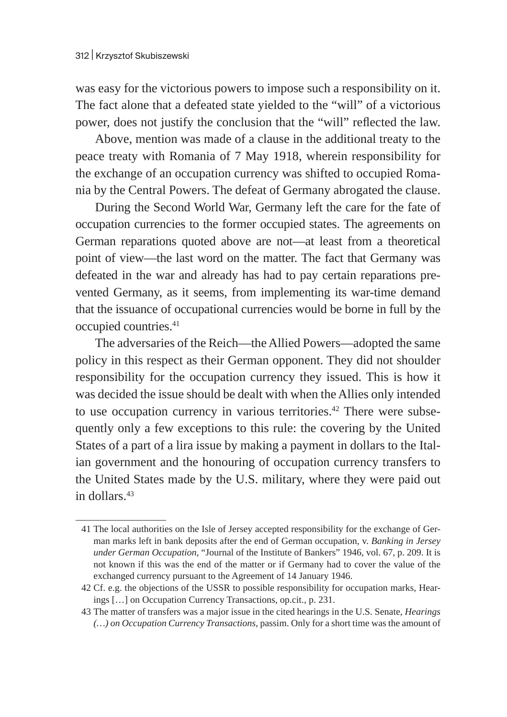was easy for the victorious powers to impose such a responsibility on it. The fact alone that a defeated state yielded to the "will" of a victorious power, does not justify the conclusion that the "will" reflected the law.

Above, mention was made of a clause in the additional treaty to the peace treaty with Romania of 7 May 1918, wherein responsibility for the exchange of an occupation currency was shifted to occupied Romania by the Central Powers. The defeat of Germany abrogated the clause.

During the Second World War, Germany left the care for the fate of occupation currencies to the former occupied states. The agreements on German reparations quoted above are not—at least from a theoretical point of view—the last word on the matter. The fact that Germany was defeated in the war and already has had to pay certain reparations prevented Germany, as it seems, from implementing its war-time demand that the issuance of occupational currencies would be borne in full by the occupied countries.<sup>41</sup>

The adversaries of the Reich—the Allied Powers—adopted the same policy in this respect as their German opponent. They did not shoulder responsibility for the occupation currency they issued. This is how it was decided the issue should be dealt with when the Allies only intended to use occupation currency in various territories.<sup>42</sup> There were subsequently only a few exceptions to this rule: the covering by the United States of a part of a lira issue by making a payment in dollars to the Italian government and the honouring of occupation currency transfers to the United States made by the U.S. military, where they were paid out in dollars.43

<sup>41</sup> The local authorities on the Isle of Jersey accepted responsibility for the exchange of German marks left in bank deposits after the end of German occupation, v. *Banking in Jersey under German Occupation*, "Journal of the Institute of Bankers" 1946, vol. 67, p. 209. It is not known if this was the end of the matter or if Germany had to cover the value of the exchanged currency pursuant to the Agreement of 14 January 1946.

<sup>42</sup> Cf. e.g. the objections of the USSR to possible responsibility for occupation marks, Hearings […] on Occupation Currency Transactions, op.cit., p. 231.

<sup>43</sup> The matter of transfers was a major issue in the cited hearings in the U.S. Senate, *Hearings (…) on Occupation Currency Transactions*, passim. Only for a short time was the amount of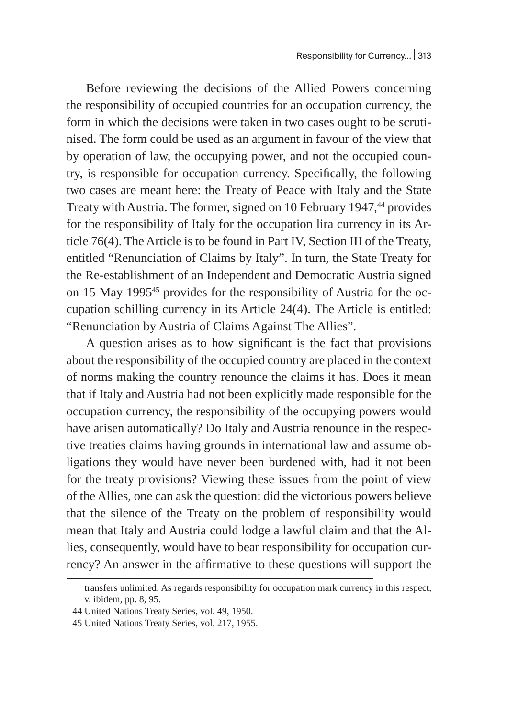Before reviewing the decisions of the Allied Powers concerning the responsibility of occupied countries for an occupation currency, the form in which the decisions were taken in two cases ought to be scrutinised. The form could be used as an argument in favour of the view that by operation of law, the occupying power, and not the occupied country, is responsible for occupation currency. Specifically, the following two cases are meant here: the Treaty of Peace with Italy and the State Treaty with Austria. The former, signed on 10 February 1947,<sup>44</sup> provides for the responsibility of Italy for the occupation lira currency in its Article 76(4). The Article is to be found in Part IV, Section III of the Treaty, entitled "Renunciation of Claims by Italy". In turn, the State Treaty for the Re-establishment of an Independent and Democratic Austria signed on 15 May 1995<sup>45</sup> provides for the responsibility of Austria for the occupation schilling currency in its Article 24(4). The Article is entitled: "Renunciation by Austria of Claims Against The Allies".

A question arises as to how significant is the fact that provisions about the responsibility of the occupied country are placed in the context of norms making the country renounce the claims it has. Does it mean that if Italy and Austria had not been explicitly made responsible for the occupation currency, the responsibility of the occupying powers would have arisen automatically? Do Italy and Austria renounce in the respective treaties claims having grounds in international law and assume obligations they would have never been burdened with, had it not been for the treaty provisions? Viewing these issues from the point of view of the Allies, one can ask the question: did the victorious powers believe that the silence of the Treaty on the problem of responsibility would mean that Italy and Austria could lodge a lawful claim and that the Allies, consequently, would have to bear responsibility for occupation currency? An answer in the affirmative to these questions will support the

transfers unlimited. As regards responsibility for occupation mark currency in this respect, v. ibidem, pp. 8, 95.

<sup>44</sup> United Nations Treaty Series, vol. 49, 1950.

<sup>45</sup> United Nations Treaty Series, vol. 217, 1955.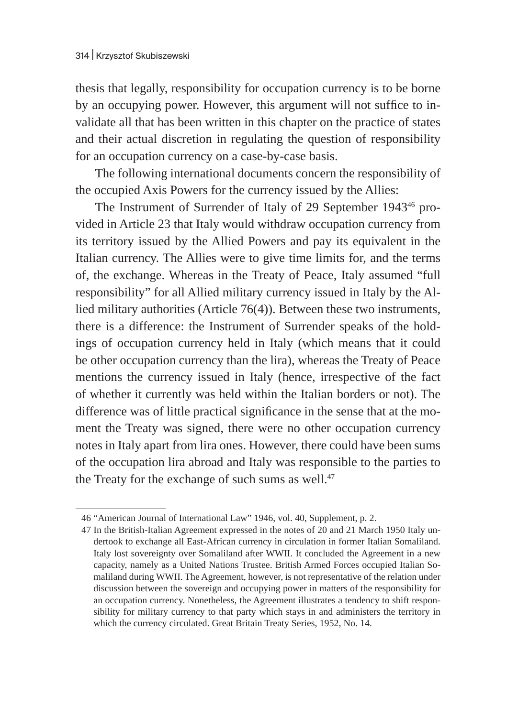thesis that legally, responsibility for occupation currency is to be borne by an occupying power. However, this argument will not suffice to invalidate all that has been written in this chapter on the practice of states and their actual discretion in regulating the question of responsibility for an occupation currency on a case-by-case basis.

The following international documents concern the responsibility of the occupied Axis Powers for the currency issued by the Allies:

The Instrument of Surrender of Italy of 29 September 1943<sup>46</sup> provided in Article 23 that Italy would withdraw occupation currency from its territory issued by the Allied Powers and pay its equivalent in the Italian currency. The Allies were to give time limits for, and the terms of, the exchange. Whereas in the Treaty of Peace, Italy assumed "full responsibility" for all Allied military currency issued in Italy by the Allied military authorities (Article 76(4)). Between these two instruments, there is a difference: the Instrument of Surrender speaks of the holdings of occupation currency held in Italy (which means that it could be other occupation currency than the lira), whereas the Treaty of Peace mentions the currency issued in Italy (hence, irrespective of the fact of whether it currently was held within the Italian borders or not). The difference was of little practical significance in the sense that at the moment the Treaty was signed, there were no other occupation currency notes in Italy apart from lira ones. However, there could have been sums of the occupation lira abroad and Italy was responsible to the parties to the Treaty for the exchange of such sums as well.<sup>47</sup>

<sup>46</sup> "American Journal of International Law" 1946, vol. 40, Supplement, p. 2.

<sup>47</sup> In the British-Italian Agreement expressed in the notes of 20 and 21 March 1950 Italy undertook to exchange all East-African currency in circulation in former Italian Somaliland. Italy lost sovereignty over Somaliland after WWII. It concluded the Agreement in a new capacity, namely as a United Nations Trustee. British Armed Forces occupied Italian Somaliland during WWII. The Agreement, however, is not representative of the relation under discussion between the sovereign and occupying power in matters of the responsibility for an occupation currency. Nonetheless, the Agreement illustrates a tendency to shift responsibility for military currency to that party which stays in and administers the territory in which the currency circulated. Great Britain Treaty Series, 1952, No. 14.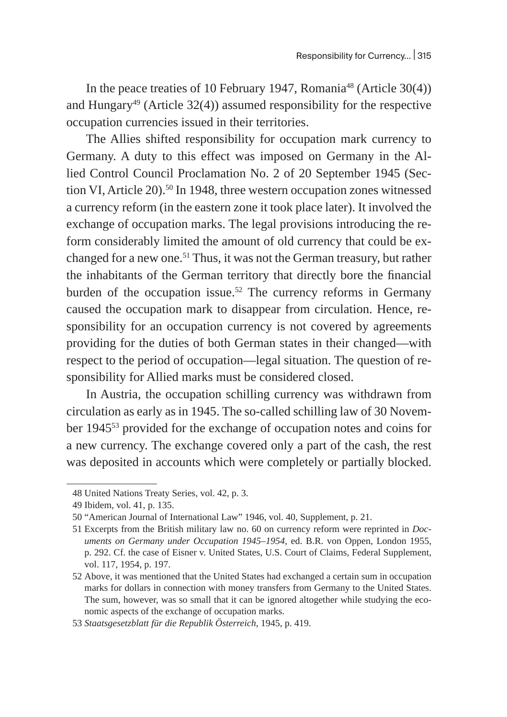In the peace treaties of 10 February 1947, Romania<sup>48</sup> (Article 30(4)) and Hungary<sup>49</sup> (Article 32(4)) assumed responsibility for the respective occupation currencies issued in their territories.

The Allies shifted responsibility for occupation mark currency to Germany. A duty to this effect was imposed on Germany in the Allied Control Council Proclamation No. 2 of 20 September 1945 (Section VI, Article 20).<sup>50</sup> In 1948, three western occupation zones witnessed a currency reform (in the eastern zone it took place later). It involved the exchange of occupation marks. The legal provisions introducing the reform considerably limited the amount of old currency that could be exchanged for a new one.<sup>51</sup> Thus, it was not the German treasury, but rather the inhabitants of the German territory that directly bore the financial burden of the occupation issue.<sup>52</sup> The currency reforms in Germany caused the occupation mark to disappear from circulation. Hence, responsibility for an occupation currency is not covered by agreements providing for the duties of both German states in their changed—with respect to the period of occupation—legal situation. The question of responsibility for Allied marks must be considered closed.

In Austria, the occupation schilling currency was withdrawn from circulation as early as in 1945. The so-called schilling law of 30 November 194553 provided for the exchange of occupation notes and coins for a new currency. The exchange covered only a part of the cash, the rest was deposited in accounts which were completely or partially blocked.

<sup>48</sup> United Nations Treaty Series, vol. 42, p. 3.

<sup>49</sup> Ibidem, vol. 41, p. 135.

<sup>50</sup> "American Journal of International Law" 1946, vol. 40, Supplement, p. 21.

<sup>51</sup> Excerpts from the British military law no. 60 on currency reform were reprinted in *Documents on Germany under Occupation 1945–1954*, ed. B.R. von Oppen, London 1955, p. 292. Cf. the case of Eisner v. United States, U.S. Court of Claims, Federal Supplement, vol. 117, 1954, p. 197.

<sup>52</sup> Above, it was mentioned that the United States had exchanged a certain sum in occupation marks for dollars in connection with money transfers from Germany to the United States. The sum, however, was so small that it can be ignored altogether while studying the economic aspects of the exchange of occupation marks.

<sup>53</sup> *Staatsgesetzblatt für die Republik Österreich*, 1945, p. 419.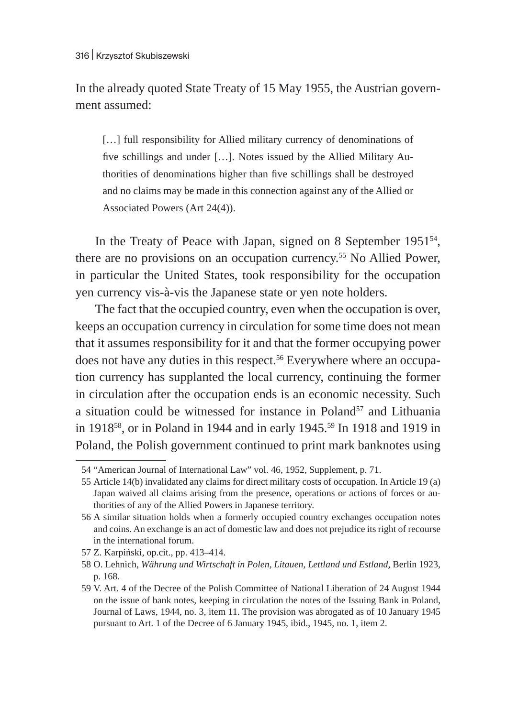In the already quoted State Treaty of 15 May 1955, the Austrian government assumed:

[...] full responsibility for Allied military currency of denominations of five schillings and under […]. Notes issued by the Allied Military Authorities of denominations higher than five schillings shall be destroyed and no claims may be made in this connection against any of the Allied or Associated Powers (Art 24(4)).

In the Treaty of Peace with Japan, signed on 8 September 1951<sup>54</sup>, there are no provisions on an occupation currency.55 No Allied Power, in particular the United States, took responsibility for the occupation yen currency vis-à-vis the Japanese state or yen note holders.

The fact that the occupied country, even when the occupation is over, keeps an occupation currency in circulation for some time does not mean that it assumes responsibility for it and that the former occupying power does not have any duties in this respect.<sup>56</sup> Everywhere where an occupation currency has supplanted the local currency, continuing the former in circulation after the occupation ends is an economic necessity. Such a situation could be witnessed for instance in Poland<sup>57</sup> and Lithuania in 191858, or in Poland in 1944 and in early 1945.59 In 1918 and 1919 in Poland, the Polish government continued to print mark banknotes using

<sup>54</sup> "American Journal of International Law" vol. 46, 1952, Supplement, p. 71.

<sup>55</sup> Article 14(b) invalidated any claims for direct military costs of occupation. In Article 19 (a) Japan waived all claims arising from the presence, operations or actions of forces or authorities of any of the Allied Powers in Japanese territory.

<sup>56</sup> A similar situation holds when a formerly occupied country exchanges occupation notes and coins. An exchange is an act of domestic law and does not prejudice its right of recourse in the international forum.

<sup>57</sup> Z. Karpiński, op.cit., pp. 413–414.

<sup>58</sup> O. Lehnich, *Währung und Wirtschaft in Polen, Litauen, Lettland und Estland*, Berlin 1923, p. 168.

<sup>59</sup> V. Art. 4 of the Decree of the Polish Committee of National Liberation of 24 August 1944 on the issue of bank notes, keeping in circulation the notes of the Issuing Bank in Poland, Journal of Laws, 1944, no. 3, item 11. The provision was abrogated as of 10 January 1945 pursuant to Art. 1 of the Decree of 6 January 1945, ibid., 1945, no. 1, item 2.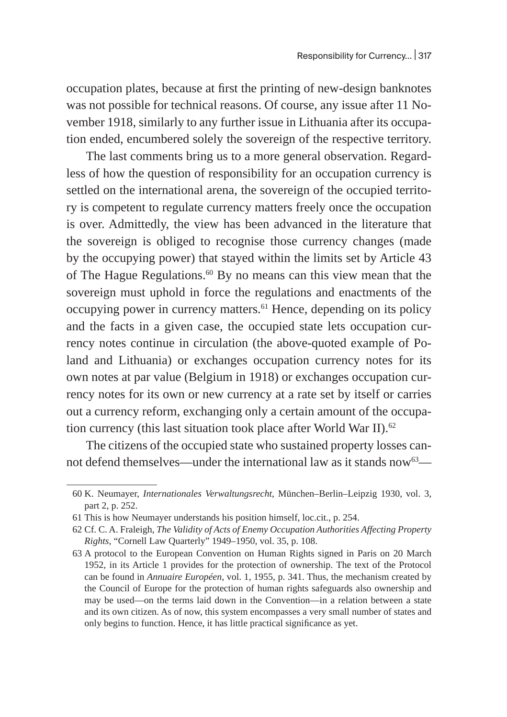occupation plates, because at first the printing of new-design banknotes was not possible for technical reasons. Of course, any issue after 11 November 1918, similarly to any further issue in Lithuania after its occupation ended, encumbered solely the sovereign of the respective territory.

The last comments bring us to a more general observation. Regardless of how the question of responsibility for an occupation currency is settled on the international arena, the sovereign of the occupied territory is competent to regulate currency matters freely once the occupation is over. Admittedly, the view has been advanced in the literature that the sovereign is obliged to recognise those currency changes (made by the occupying power) that stayed within the limits set by Article 43 of The Hague Regulations.<sup>60</sup> By no means can this view mean that the sovereign must uphold in force the regulations and enactments of the occupying power in currency matters.<sup>61</sup> Hence, depending on its policy and the facts in a given case, the occupied state lets occupation currency notes continue in circulation (the above-quoted example of Poland and Lithuania) or exchanges occupation currency notes for its own notes at par value (Belgium in 1918) or exchanges occupation currency notes for its own or new currency at a rate set by itself or carries out a currency reform, exchanging only a certain amount of the occupation currency (this last situation took place after World War II).<sup>62</sup>

The citizens of the occupied state who sustained property losses cannot defend themselves—under the international law as it stands now  $63-$ 

<sup>60</sup> K. Neumayer, *Internationales Verwaltungsrecht*, München–Berlin–Leipzig 1930, vol. 3, part 2, p. 252.

<sup>61</sup> This is how Neumayer understands his position himself, loc.cit., p. 254.

<sup>62</sup> Cf. C. A. Fraleigh, *The Validity of Acts of Enemy Occupation Authorities Affecting Property Rights*, "Cornell Law Quarterly" 1949–1950, vol. 35, p. 108.

<sup>63</sup> A protocol to the European Convention on Human Rights signed in Paris on 20 March 1952, in its Article 1 provides for the protection of ownership. The text of the Protocol can be found in *Annuaire Européen*, vol. 1, 1955, p. 341. Thus, the mechanism created by the Council of Europe for the protection of human rights safeguards also ownership and may be used—on the terms laid down in the Convention—in a relation between a state and its own citizen. As of now, this system encompasses a very small number of states and only begins to function. Hence, it has little practical significance as yet.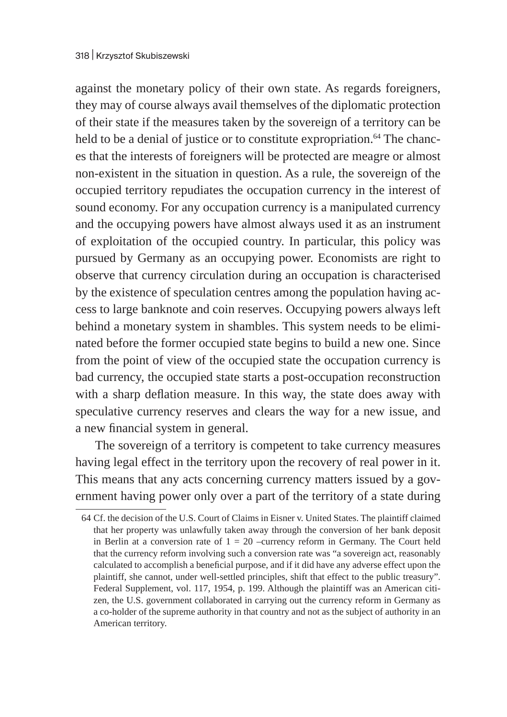against the monetary policy of their own state. As regards foreigners, they may of course always avail themselves of the diplomatic protection of their state if the measures taken by the sovereign of a territory can be held to be a denial of justice or to constitute expropriation.<sup>64</sup> The chances that the interests of foreigners will be protected are meagre or almost non-existent in the situation in question. As a rule, the sovereign of the occupied territory repudiates the occupation currency in the interest of sound economy. For any occupation currency is a manipulated currency and the occupying powers have almost always used it as an instrument of exploitation of the occupied country. In particular, this policy was pursued by Germany as an occupying power. Economists are right to observe that currency circulation during an occupation is characterised by the existence of speculation centres among the population having access to large banknote and coin reserves. Occupying powers always left behind a monetary system in shambles. This system needs to be eliminated before the former occupied state begins to build a new one. Since from the point of view of the occupied state the occupation currency is bad currency, the occupied state starts a post-occupation reconstruction with a sharp deflation measure. In this way, the state does away with speculative currency reserves and clears the way for a new issue, and a new financial system in general.

The sovereign of a territory is competent to take currency measures having legal effect in the territory upon the recovery of real power in it. This means that any acts concerning currency matters issued by a government having power only over a part of the territory of a state during

<sup>64</sup> Cf. the decision of the U.S. Court of Claims in Eisner v. United States. The plaintiff claimed that her property was unlawfully taken away through the conversion of her bank deposit in Berlin at a conversion rate of  $1 = 20$  –currency reform in Germany. The Court held that the currency reform involving such a conversion rate was "a sovereign act, reasonably calculated to accomplish a beneficial purpose, and if it did have any adverse effect upon the plaintiff, she cannot, under well-settled principles, shift that effect to the public treasury". Federal Supplement, vol. 117, 1954, p. 199. Although the plaintiff was an American citizen, the U.S. government collaborated in carrying out the currency reform in Germany as a co-holder of the supreme authority in that country and not as the subject of authority in an American territory.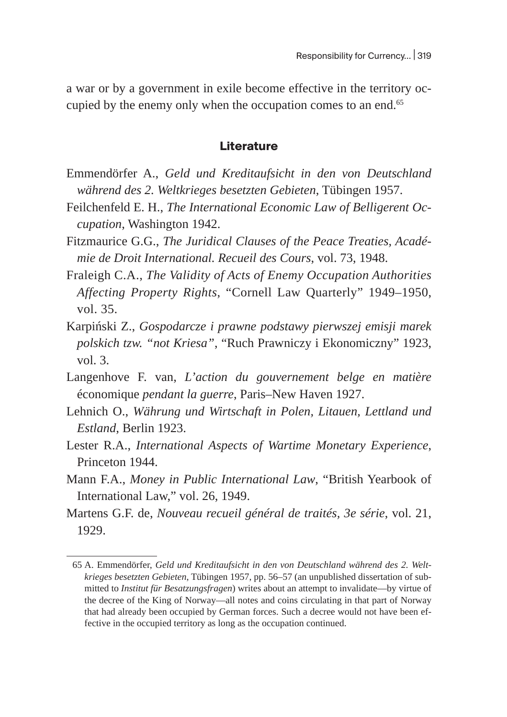a war or by a government in exile become effective in the territory occupied by the enemy only when the occupation comes to an end.<sup>65</sup>

#### **Literature**

- Emmendörfer A., *Geld und Kreditaufsicht in den von Deutschland während des 2. Weltkrieges besetzten Gebieten*, Tübingen 1957.
- Feilchenfeld E. H., *The International Economic Law of Belligerent Occupation*, Washington 1942.
- Fitzmaurice G.G., *The Juridical Clauses of the Peace Treaties, Académie de Droit International. Recueil des Cours*, vol. 73, 1948.
- Fraleigh C.A., *The Validity of Acts of Enemy Occupation Authorities Affecting Property Rights*, "Cornell Law Quarterly" 1949–1950, vol. 35.
- Karpiński Z., *Gospodarcze i prawne podstawy pierwszej emisji marek polskich tzw. "not Kriesa"*, "Ruch Prawniczy i Ekonomiczny" 1923, vol. 3.
- Langenhove F. van, *L'action du gouvernement belge en matière*  économique *pendant la guerre*, Paris–New Haven 1927.
- Lehnich O., *Währung und Wirtschaft in Polen, Litauen, Lettland und Estland*, Berlin 1923.
- Lester R.A., *International Aspects of Wartime Monetary Experience*, Princeton 1944.
- Mann F.A., *Money in Public International Law*, "British Yearbook of International Law," vol. 26, 1949.
- Martens G.F. de, *Nouveau recueil général de traités, 3e série*, vol. 21, 1929.

<sup>65</sup> A. Emmendörfer, *Geld und Kreditaufsicht in den von Deutschland während des 2. Weltkrieges besetzten Gebieten*, Tübingen 1957, pp. 56–57 (an unpublished dissertation of submitted to *Institut für Besatzungsfragen*) writes about an attempt to invalidate—by virtue of the decree of the King of Norway—all notes and coins circulating in that part of Norway that had already been occupied by German forces. Such a decree would not have been effective in the occupied territory as long as the occupation continued.